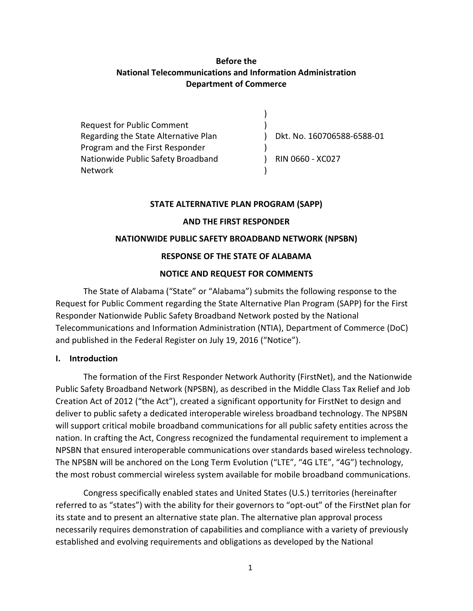### **Before the National Telecommunications and Information Administration Department of Commerce**

Request for Public Comment Regarding the State Alternative Plan Program and the First Responder Nationwide Public Safety Broadband Network ) ) ) Dkt. No. 160706588-6588-01 ) ) RIN 0660 - XC027 )

#### **STATE ALTERNATIVE PLAN PROGRAM (SAPP)**

#### **AND THE FIRST RESPONDER**

#### **NATIONWIDE PUBLIC SAFETY BROADBAND NETWORK (NPSBN)**

#### **RESPONSE OF THE STATE OF ALABAMA**

#### **NOTICE AND REQUEST FOR COMMENTS**

The State of Alabama ("State" or "Alabama") submits the following response to the Request for Public Comment regarding the State Alternative Plan Program (SAPP) for the First Responder Nationwide Public Safety Broadband Network posted by the National Telecommunications and Information Administration (NTIA), Department of Commerce (DoC) and published in the Federal Register on July 19, 2016 ("Notice").

#### **I. Introduction**

The formation of the First Responder Network Authority (FirstNet), and the Nationwide Public Safety Broadband Network (NPSBN), as described in the Middle Class Tax Relief and Job Creation Act of 2012 ("the Act"), created a significant opportunity for FirstNet to design and deliver to public safety a dedicated interoperable wireless broadband technology. The NPSBN will support critical mobile broadband communications for all public safety entities across the nation. In crafting the Act, Congress recognized the fundamental requirement to implement a NPSBN that ensured interoperable communications over standards based wireless technology. The NPSBN will be anchored on the Long Term Evolution ("LTE", "4G LTE", "4G") technology, the most robust commercial wireless system available for mobile broadband communications.

Congress specifically enabled states and United States (U.S.) territories (hereinafter referred to as "states") with the ability for their governors to "opt-out" of the FirstNet plan for its state and to present an alternative state plan. The alternative plan approval process necessarily requires demonstration of capabilities and compliance with a variety of previously established and evolving requirements and obligations as developed by the National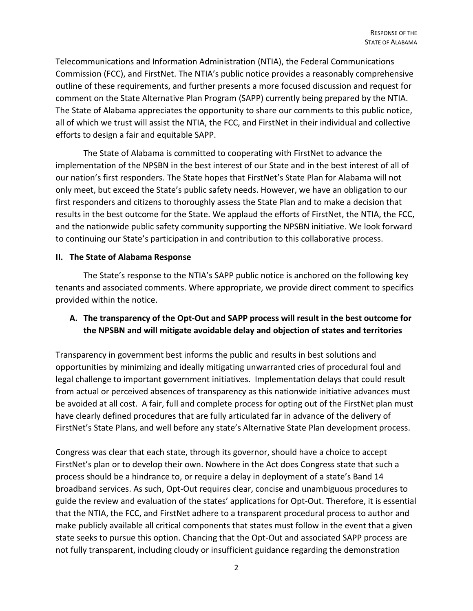Telecommunications and Information Administration (NTIA), the Federal Communications Commission (FCC), and FirstNet. The NTIA's public notice provides a reasonably comprehensive outline of these requirements, and further presents a more focused discussion and request for comment on the State Alternative Plan Program (SAPP) currently being prepared by the NTIA. The State of Alabama appreciates the opportunity to share our comments to this public notice, all of which we trust will assist the NTIA, the FCC, and FirstNet in their individual and collective efforts to design a fair and equitable SAPP.

The State of Alabama is committed to cooperating with FirstNet to advance the implementation of the NPSBN in the best interest of our State and in the best interest of all of our nation's first responders. The State hopes that FirstNet's State Plan for Alabama will not only meet, but exceed the State's public safety needs. However, we have an obligation to our first responders and citizens to thoroughly assess the State Plan and to make a decision that results in the best outcome for the State. We applaud the efforts of FirstNet, the NTIA, the FCC, and the nationwide public safety community supporting the NPSBN initiative. We look forward to continuing our State's participation in and contribution to this collaborative process.

#### **II. The State of Alabama Response**

The State's response to the NTIA's SAPP public notice is anchored on the following key tenants and associated comments. Where appropriate, we provide direct comment to specifics provided within the notice.

### **A. The transparency of the Opt-Out and SAPP process will result in the best outcome for the NPSBN and will mitigate avoidable delay and objection of states and territories**

Transparency in government best informs the public and results in best solutions and opportunities by minimizing and ideally mitigating unwarranted cries of procedural foul and legal challenge to important government initiatives. Implementation delays that could result from actual or perceived absences of transparency as this nationwide initiative advances must be avoided at all cost. A fair, full and complete process for opting out of the FirstNet plan must have clearly defined procedures that are fully articulated far in advance of the delivery of FirstNet's State Plans, and well before any state's Alternative State Plan development process.

Congress was clear that each state, through its governor, should have a choice to accept FirstNet's plan or to develop their own. Nowhere in the Act does Congress state that such a process should be a hindrance to, or require a delay in deployment of a state's Band 14 broadband services. As such, Opt-Out requires clear, concise and unambiguous procedures to guide the review and evaluation of the states' applications for Opt-Out. Therefore, it is essential that the NTIA, the FCC, and FirstNet adhere to a transparent procedural process to author and make publicly available all critical components that states must follow in the event that a given state seeks to pursue this option. Chancing that the Opt-Out and associated SAPP process are not fully transparent, including cloudy or insufficient guidance regarding the demonstration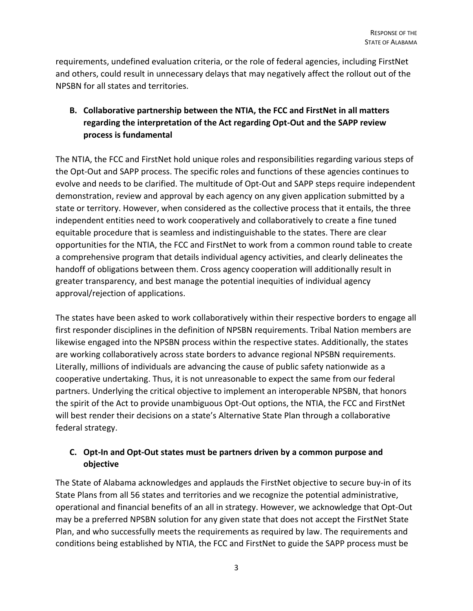requirements, undefined evaluation criteria, or the role of federal agencies, including FirstNet and others, could result in unnecessary delays that may negatively affect the rollout out of the NPSBN for all states and territories.

## **B. Collaborative partnership between the NTIA, the FCC and FirstNet in all matters regarding the interpretation of the Act regarding Opt-Out and the SAPP review process is fundamental**

The NTIA, the FCC and FirstNet hold unique roles and responsibilities regarding various steps of the Opt-Out and SAPP process. The specific roles and functions of these agencies continues to evolve and needs to be clarified. The multitude of Opt-Out and SAPP steps require independent demonstration, review and approval by each agency on any given application submitted by a state or territory. However, when considered as the collective process that it entails, the three independent entities need to work cooperatively and collaboratively to create a fine tuned equitable procedure that is seamless and indistinguishable to the states. There are clear opportunities for the NTIA, the FCC and FirstNet to work from a common round table to create a comprehensive program that details individual agency activities, and clearly delineates the handoff of obligations between them. Cross agency cooperation will additionally result in greater transparency, and best manage the potential inequities of individual agency approval/rejection of applications.

The states have been asked to work collaboratively within their respective borders to engage all first responder disciplines in the definition of NPSBN requirements. Tribal Nation members are likewise engaged into the NPSBN process within the respective states. Additionally, the states are working collaboratively across state borders to advance regional NPSBN requirements. Literally, millions of individuals are advancing the cause of public safety nationwide as a cooperative undertaking. Thus, it is not unreasonable to expect the same from our federal partners. Underlying the critical objective to implement an interoperable NPSBN, that honors the spirit of the Act to provide unambiguous Opt-Out options, the NTIA, the FCC and FirstNet will best render their decisions on a state's Alternative State Plan through a collaborative federal strategy.

### **C. Opt-In and Opt-Out states must be partners driven by a common purpose and objective**

The State of Alabama acknowledges and applauds the FirstNet objective to secure buy-in of its State Plans from all 56 states and territories and we recognize the potential administrative, operational and financial benefits of an all in strategy. However, we acknowledge that Opt-Out may be a preferred NPSBN solution for any given state that does not accept the FirstNet State Plan, and who successfully meets the requirements as required by law. The requirements and conditions being established by NTIA, the FCC and FirstNet to guide the SAPP process must be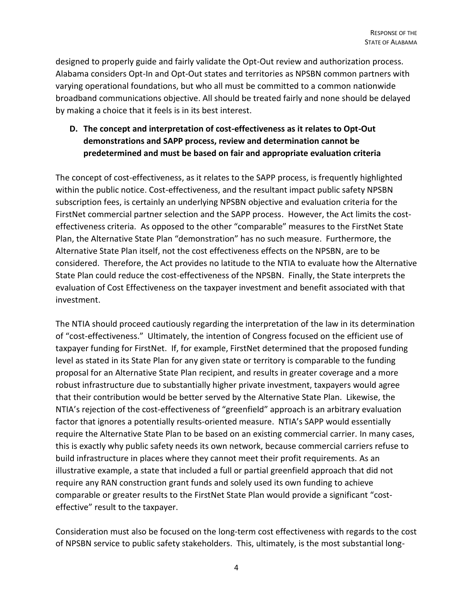designed to properly guide and fairly validate the Opt-Out review and authorization process. Alabama considers Opt-In and Opt-Out states and territories as NPSBN common partners with varying operational foundations, but who all must be committed to a common nationwide broadband communications objective. All should be treated fairly and none should be delayed by making a choice that it feels is in its best interest.

## **D. The concept and interpretation of cost-effectiveness as it relates to Opt-Out demonstrations and SAPP process, review and determination cannot be predetermined and must be based on fair and appropriate evaluation criteria**

The concept of cost-effectiveness, as it relates to the SAPP process, is frequently highlighted within the public notice. Cost-effectiveness, and the resultant impact public safety NPSBN subscription fees, is certainly an underlying NPSBN objective and evaluation criteria for the FirstNet commercial partner selection and the SAPP process. However, the Act limits the costeffectiveness criteria. As opposed to the other "comparable" measures to the FirstNet State Plan, the Alternative State Plan "demonstration" has no such measure. Furthermore, the Alternative State Plan itself, not the cost effectiveness effects on the NPSBN, are to be considered. Therefore, the Act provides no latitude to the NTIA to evaluate how the Alternative State Plan could reduce the cost-effectiveness of the NPSBN. Finally, the State interprets the evaluation of Cost Effectiveness on the taxpayer investment and benefit associated with that investment.

The NTIA should proceed cautiously regarding the interpretation of the law in its determination of "cost-effectiveness." Ultimately, the intention of Congress focused on the efficient use of taxpayer funding for FirstNet. If, for example, FirstNet determined that the proposed funding level as stated in its State Plan for any given state or territory is comparable to the funding proposal for an Alternative State Plan recipient, and results in greater coverage and a more robust infrastructure due to substantially higher private investment, taxpayers would agree that their contribution would be better served by the Alternative State Plan. Likewise, the NTIA's rejection of the cost-effectiveness of "greenfield" approach is an arbitrary evaluation factor that ignores a potentially results-oriented measure. NTIA's SAPP would essentially require the Alternative State Plan to be based on an existing commercial carrier. In many cases, this is exactly why public safety needs its own network, because commercial carriers refuse to build infrastructure in places where they cannot meet their profit requirements. As an illustrative example, a state that included a full or partial greenfield approach that did not require any RAN construction grant funds and solely used its own funding to achieve comparable or greater results to the FirstNet State Plan would provide a significant "costeffective" result to the taxpayer.

Consideration must also be focused on the long-term cost effectiveness with regards to the cost of NPSBN service to public safety stakeholders. This, ultimately, is the most substantial long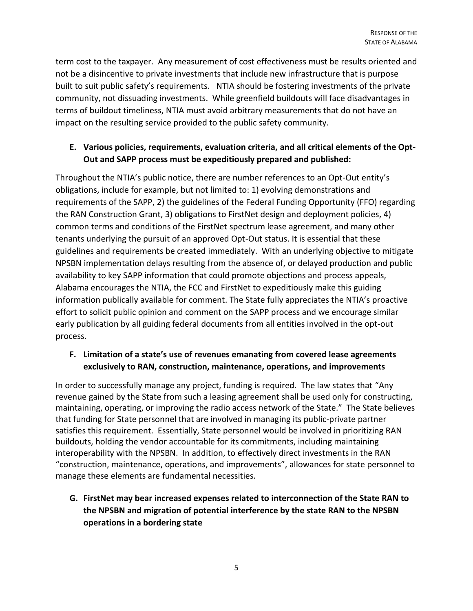term cost to the taxpayer. Any measurement of cost effectiveness must be results oriented and not be a disincentive to private investments that include new infrastructure that is purpose built to suit public safety's requirements. NTIA should be fostering investments of the private community, not dissuading investments. While greenfield buildouts will face disadvantages in terms of buildout timeliness, NTIA must avoid arbitrary measurements that do not have an impact on the resulting service provided to the public safety community.

## **E. Various policies, requirements, evaluation criteria, and all critical elements of the Opt-Out and SAPP process must be expeditiously prepared and published:**

Throughout the NTIA's public notice, there are number references to an Opt-Out entity's obligations, include for example, but not limited to: 1) evolving demonstrations and requirements of the SAPP, 2) the guidelines of the Federal Funding Opportunity (FFO) regarding the RAN Construction Grant, 3) obligations to FirstNet design and deployment policies, 4) common terms and conditions of the FirstNet spectrum lease agreement, and many other tenants underlying the pursuit of an approved Opt-Out status. It is essential that these guidelines and requirements be created immediately. With an underlying objective to mitigate NPSBN implementation delays resulting from the absence of, or delayed production and public availability to key SAPP information that could promote objections and process appeals, Alabama encourages the NTIA, the FCC and FirstNet to expeditiously make this guiding information publically available for comment. The State fully appreciates the NTIA's proactive effort to solicit public opinion and comment on the SAPP process and we encourage similar early publication by all guiding federal documents from all entities involved in the opt-out process.

## **F. Limitation of a state's use of revenues emanating from covered lease agreements exclusively to RAN, construction, maintenance, operations, and improvements**

In order to successfully manage any project, funding is required. The law states that "Any revenue gained by the State from such a leasing agreement shall be used only for constructing, maintaining, operating, or improving the radio access network of the State." The State believes that funding for State personnel that are involved in managing its public-private partner satisfies this requirement. Essentially, State personnel would be involved in prioritizing RAN buildouts, holding the vendor accountable for its commitments, including maintaining interoperability with the NPSBN. In addition, to effectively direct investments in the RAN "construction, maintenance, operations, and improvements", allowances for state personnel to manage these elements are fundamental necessities.

# **G. FirstNet may bear increased expenses related to interconnection of the State RAN to the NPSBN and migration of potential interference by the state RAN to the NPSBN operations in a bordering state**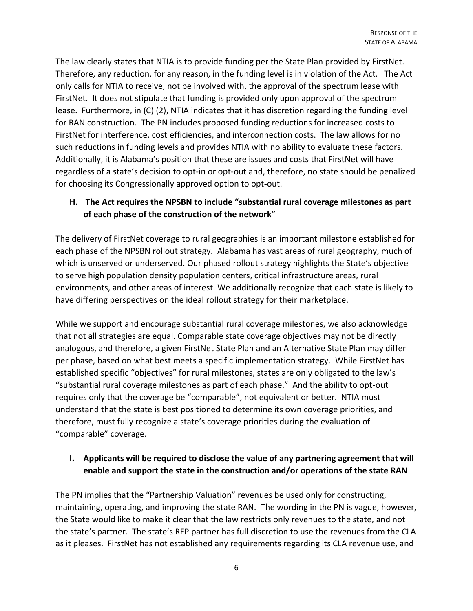The law clearly states that NTIA is to provide funding per the State Plan provided by FirstNet. Therefore, any reduction, for any reason, in the funding level is in violation of the Act. The Act only calls for NTIA to receive, not be involved with, the approval of the spectrum lease with FirstNet. It does not stipulate that funding is provided only upon approval of the spectrum lease. Furthermore, in (C) (2), NTIA indicates that it has discretion regarding the funding level for RAN construction. The PN includes proposed funding reductions for increased costs to FirstNet for interference, cost efficiencies, and interconnection costs. The law allows for no such reductions in funding levels and provides NTIA with no ability to evaluate these factors. Additionally, it is Alabama's position that these are issues and costs that FirstNet will have regardless of a state's decision to opt-in or opt-out and, therefore, no state should be penalized for choosing its Congressionally approved option to opt-out.

## **H. The Act requires the NPSBN to include "substantial rural coverage milestones as part of each phase of the construction of the network"**

The delivery of FirstNet coverage to rural geographies is an important milestone established for each phase of the NPSBN rollout strategy. Alabama has vast areas of rural geography, much of which is unserved or underserved. Our phased rollout strategy highlights the State's objective to serve high population density population centers, critical infrastructure areas, rural environments, and other areas of interest. We additionally recognize that each state is likely to have differing perspectives on the ideal rollout strategy for their marketplace.

While we support and encourage substantial rural coverage milestones, we also acknowledge that not all strategies are equal. Comparable state coverage objectives may not be directly analogous, and therefore, a given FirstNet State Plan and an Alternative State Plan may differ per phase, based on what best meets a specific implementation strategy. While FirstNet has established specific "objectives" for rural milestones, states are only obligated to the law's "substantial rural coverage milestones as part of each phase." And the ability to opt-out requires only that the coverage be "comparable", not equivalent or better. NTIA must understand that the state is best positioned to determine its own coverage priorities, and therefore, must fully recognize a state's coverage priorities during the evaluation of "comparable" coverage.

## **I. Applicants will be required to disclose the value of any partnering agreement that will enable and support the state in the construction and/or operations of the state RAN**

The PN implies that the "Partnership Valuation" revenues be used only for constructing, maintaining, operating, and improving the state RAN. The wording in the PN is vague, however, the State would like to make it clear that the law restricts only revenues to the state, and not the state's partner. The state's RFP partner has full discretion to use the revenues from the CLA as it pleases. FirstNet has not established any requirements regarding its CLA revenue use, and